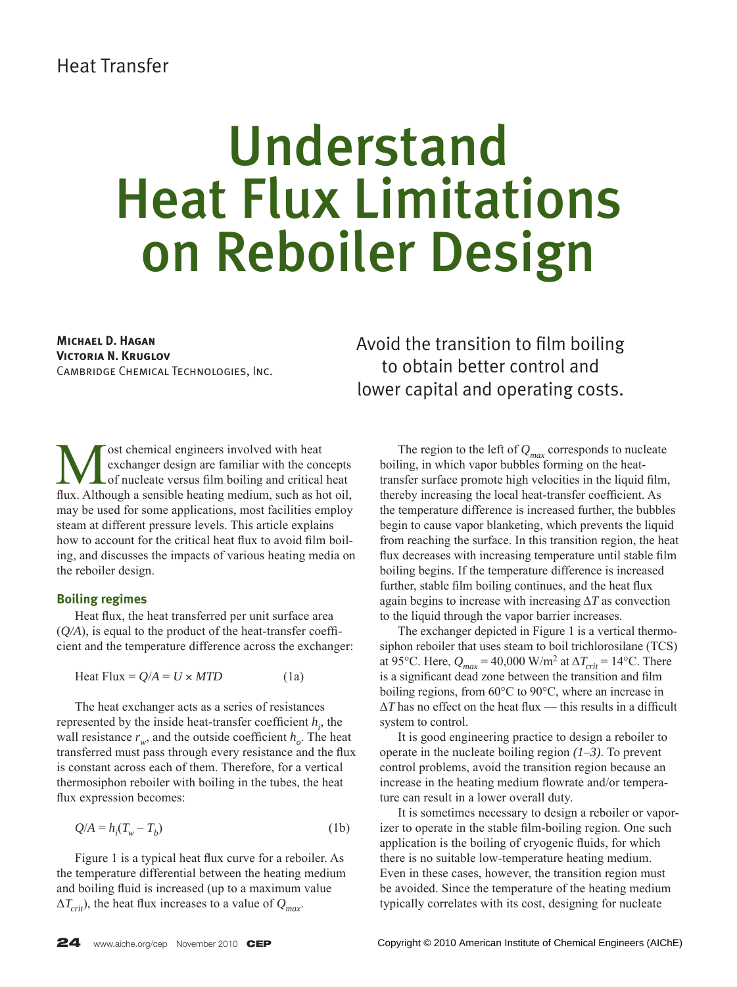## Understand Heat Flux Limitations on Reboiler Design

**Michael D. Hagan Victoria N. Kruglov** Cambridge Chemical Technologies, Inc. Avoid the transition to film boiling to obtain better control and lower capital and operating costs.

ost chemical engineers involved with heat<br>
of nucleate versus film boiling and critical heat<br>
flux Although a sensible heating medium, such as het cill exchanger design are familiar with the concepts flux. Although a sensible heating medium, such as hot oil, may be used for some applications, most facilities employ steam at different pressure levels. This article explains how to account for the critical heat flux to avoid film boiling, and discusses the impacts of various heating media on the reboiler design.

#### **Boiling regimes**

Heat flux, the heat transferred per unit surface area  $(O/A)$ , is equal to the product of the heat-transfer coefficient and the temperature difference across the exchanger:

$$
Heat Flux = Q/A = U \times MTD
$$
 (1a)

 The heat exchanger acts as a series of resistances represented by the inside heat-transfer coefficient  $h_i$ , the wall resistance  $r_w$ , and the outside coefficient  $h_o$ . The heat transferred must pass through every resistance and the flux is constant across each of them. Therefore, for a vertical thermosiphon reboiler with boiling in the tubes, the heat flux expression becomes:

$$
Q/A = h_i(T_w - T_b) \tag{1b}
$$

Figure 1 is a typical heat flux curve for a reboiler. As the temperature differential between the heating medium and boiling fluid is increased (up to a maximum value  $\Delta T_{crit}$ ), the heat flux increases to a value of  $Q_{max}$ .

The region to the left of  $Q_{max}$  corresponds to nucleate boiling, in which vapor bubbles forming on the heattransfer surface promote high velocities in the liquid film, thereby increasing the local heat-transfer coefficient. As the temperature difference is increased further, the bubbles begin to cause vapor blanketing, which prevents the liquid from reaching the surface. In this transition region, the heat flux decreases with increasing temperature until stable film boiling begins. If the temperature difference is increased further, stable film boiling continues, and the heat flux again begins to increase with increasing  $\Delta T$  as convection to the liquid through the vapor barrier increases.

 The exchanger depicted in Figure 1 is a vertical thermosiphon reboiler that uses steam to boil trichlorosilane (TCS) at 95°C. Here,  $Q_{max}$  = 40,000 W/m<sup>2</sup> at  $\Delta T_{crit}$  = 14°C. There is a significant dead zone between the transition and film boiling regions, from 60°C to 90°C, where an increase in  $\Delta T$  has no effect on the heat flux — this results in a difficult system to control.

 It is good engineering practice to design a reboiler to operate in the nucleate boiling region *(1–3)*. To prevent control problems, avoid the transition region because an increase in the heating medium flowrate and/or temperature can result in a lower overall duty.

 It is sometimes necessary to design a reboiler or vaporizer to operate in the stable film-boiling region. One such application is the boiling of cryogenic fluids, for which there is no suitable low-temperature heating medium. Even in these cases, however, the transition region must be avoided. Since the temperature of the heating medium typically correlates with its cost, designing for nucleate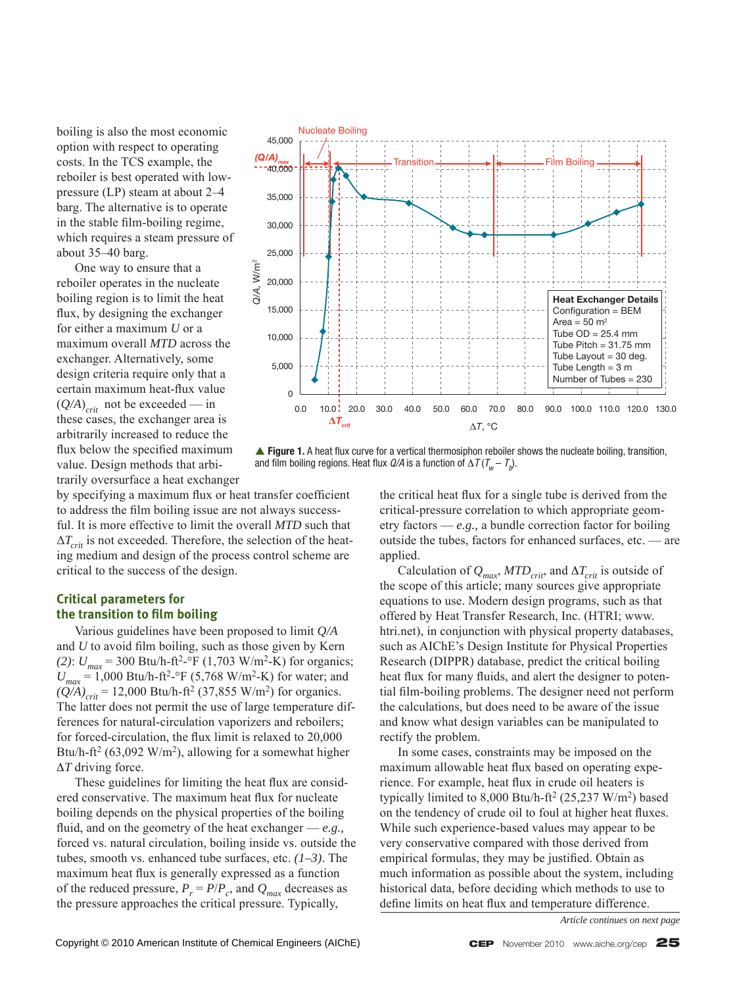boiling is also the most economic option with respect to operating costs. In the TCS example, the reboiler is best operated with lowpressure (LP) steam at about 2–4 barg. The alternative is to operate in the stable film-boiling regime, which requires a steam pressure of about 35–40 barg.

 One way to ensure that a reboiler operates in the nucleate boiling region is to limit the heat flux, by designing the exchanger for either a maximum *U* or a maximum overall *MTD* across the exchanger. Alternatively, some design criteria require only that a certain maximum heat-flux value  $(Q/A)_{crit}$  not be exceeded — in these cases, the exchanger area is arbitrarily increased to reduce the flux below the specified maximum value. Design methods that arbitrarily oversurface a heat exchanger



**▲ Figure 1.** A heat flux curve for a vertical thermosiphon reboiler shows the nucleate boiling, transition, and film boiling regions. Heat flux *Q/A* is a function of  $\Delta\, \mathcal{T}(\mathcal{T}_w - \mathcal{T}_b).$ 

by specifying a maximum flux or heat transfer coefficient to address the film boiling issue are not always successful. It is more effective to limit the overall *MTD* such that  $\Delta T_{crit}$  is not exceeded. Therefore, the selection of the heating medium and design of the process control scheme are critical to the success of the design.

#### **Critical parameters for the transition to film boiling**

 Various guidelines have been proposed to limit *Q/A* and  $U$  to avoid film boiling, such as those given by Kern *(2)*:  $U_{max}$  = 300 Btu/h-ft<sup>2</sup>-°F (1,703 W/m<sup>2</sup>-K) for organics;  $U_{max}$  = 1,000 Btu/h-ft<sup>2</sup>-°F (5,768 W/m<sup>2</sup>-K) for water; and  $(Q/A)_{crit}$  = 12,000 Btu/h-ft<sup>2</sup> (37,855 W/m<sup>2</sup>) for organics. The latter does not permit the use of large temperature differences for natural-circulation vaporizers and reboilers; for forced-circulation, the flux limit is relaxed to 20,000 Btu/h-ft<sup>2</sup> (63,092 W/m<sup>2</sup>), allowing for a somewhat higher Δ*T* driving force.

These guidelines for limiting the heat flux are considered conservative. The maximum heat flux for nucleate boiling depends on the physical properties of the boiling fluid, and on the geometry of the heat exchanger  $-e.g.,$ forced vs. natural circulation, boiling inside vs. outside the tubes, smooth vs. enhanced tube surfaces, etc. *(1–3)*. The maximum heat flux is generally expressed as a function of the reduced pressure,  $P_r = P/P_c$ , and  $Q_{max}$  decreases as the pressure approaches the critical pressure. Typically,

the critical heat flux for a single tube is derived from the critical-pressure correlation to which appropriate geometry factors — *e.g.,* a bundle correction factor for boiling outside the tubes, factors for enhanced surfaces, etc. — are applied.

Calculation of  $Q_{max}$ ,  $MTD_{crit}$ , and  $\Delta T_{crit}$  is outside of the scope of this article; many sources give appropriate equations to use. Modern design programs, such as that offered by Heat Transfer Research, Inc. (HTRI; www. htri.net), in conjunction with physical property databases, such as AIChE's Design Institute for Physical Properties Research (DIPPR) database, predict the critical boiling heat flux for many fluids, and alert the designer to potential film-boiling problems. The designer need not perform the calculations, but does need to be aware of the issue and know what design variables can be manipulated to rectify the problem.

 In some cases, constraints may be imposed on the maximum allowable heat flux based on operating experience. For example, heat flux in crude oil heaters is typically limited to  $8,000$  Btu/h-ft<sup>2</sup> (25,237 W/m<sup>2</sup>) based on the tendency of crude oil to foul at higher heat fluxes. While such experience-based values may appear to be very conservative compared with those derived from empirical formulas, they may be justified. Obtain as much information as possible about the system, including historical data, before deciding which methods to use to define limits on heat flux and temperature difference.

*Article continues on next page*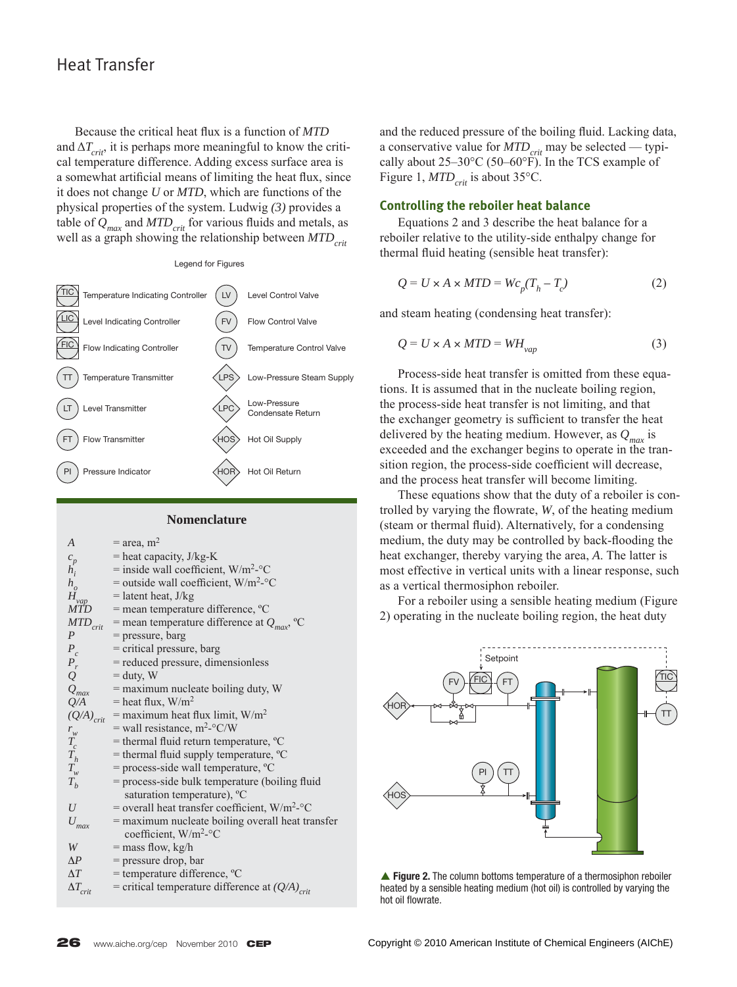Because the critical heat flux is a function of *MTD* and  $\Delta T_{crit}$ , it is perhaps more meaningful to know the critical temperature difference. Adding excess surface area is a somewhat artificial means of limiting the heat flux, since it does not change *U* or *MTD*, which are functions of the physical properties of the system. Ludwig *(3)* provides a table of  $Q_{max}$  and  $MTD_{crit}$  for various fluids and metals, as well as a graph showing the relationship between *MTD<sub>crit</sub>* 



#### **Nomenclature**

| $\overline{A}$                                   | $=$ area, m <sup>2</sup>                                        |
|--------------------------------------------------|-----------------------------------------------------------------|
|                                                  | $=$ heat capacity, J/kg-K                                       |
| $\frac{c_p}{h_i}$                                | $=$ inside wall coefficient, W/m <sup>2</sup> - $\rm ^{\circ}C$ |
| $h_o$                                            | = outside wall coefficient, $W/m^2$ -°C                         |
| $H_{vap}$                                        | $=$ latent heat, J/kg                                           |
| <b>MTD</b>                                       | $=$ mean temperature difference, $^{\circ}C$                    |
| $MTD_{\text{crit}}$                              | = mean temperature difference at $Q_{\text{max}}$ , °C          |
| P                                                | = pressure, barg                                                |
|                                                  | = critical pressure, barg                                       |
|                                                  | = reduced pressure, dimensionless                               |
| $\begin{array}{c} P_c \\ P_r \\ Q \end{array}$   | $=$ duty, W                                                     |
|                                                  | $Q_{max}$ = maximum nucleate boiling duty, W                    |
| Q/A                                              | $=$ heat flux, W/m <sup>2</sup>                                 |
|                                                  | $(Q/A)_{crit}$ = maximum heat flux limit, W/m <sup>2</sup>      |
|                                                  | = wall resistance, $m^2$ -°C/W                                  |
| $\begin{array}{c} r_w \\ T_c \\ T_h \end{array}$ | = thermal fluid return temperature, °C                          |
|                                                  | = thermal fluid supply temperature, °C                          |
| $T_w$                                            | $=$ process-side wall temperature, $^{\circ}C$                  |
| $T_h$                                            | = process-side bulk temperature (boiling fluid                  |
|                                                  | saturation temperature), <sup>o</sup> C                         |
| U                                                | = overall heat transfer coefficient, $W/m^2$ - $\degree$ C      |
| $U_{max}$                                        | = maximum nucleate boiling overall heat transfer                |
|                                                  | coefficient, W/m <sup>2</sup> -°C                               |
| W                                                | $=$ mass flow, kg/h                                             |
| $\Lambda P$                                      | = pressure drop, bar                                            |
| $\Delta T$                                       | = temperature difference, °C                                    |
| $\Delta T_{crit}$                                | = critical temperature difference at $(Q/A)_{crit}$             |

and the reduced pressure of the boiling fluid. Lacking data, a conservative value for  $MTD_{crit}$  may be selected — typically about 25–30°C (50–60°F). In the TCS example of Figure 1,  $MTD_{crit}$  is about 35°C.

#### **Controlling the reboiler heat balance**

 Equations 2 and 3 describe the heat balance for a reboiler relative to the utility-side enthalpy change for thermal fluid heating (sensible heat transfer):

$$
Q = U \times A \times MTD = Wc_p(T_h - T_c)
$$
 (2)

and steam heating (condensing heat transfer):

$$
Q = U \times A \times MTD = WH_{vap} \tag{3}
$$

 Process-side heat transfer is omitted from these equations. It is assumed that in the nucleate boiling region, the process-side heat transfer is not limiting, and that the exchanger geometry is sufficient to transfer the heat delivered by the heating medium. However, as  $Q_{\text{max}}$  is exceeded and the exchanger begins to operate in the transition region, the process-side coefficient will decrease, and the process heat transfer will become limiting.

 These equations show that the duty of a reboiler is controlled by varying the flowrate, *W*, of the heating medium (steam or thermal fluid). Alternatively, for a condensing medium, the duty may be controlled by back-flooding the heat exchanger, thereby varying the area, *A*. The latter is most effective in vertical units with a linear response, such as a vertical thermosiphon reboiler.

 For a reboiler using a sensible heating medium (Figure 2) operating in the nucleate boiling region, the heat duty



▲ Figure 2. The column bottoms temperature of a thermosiphon reboiler heated by a sensible heating medium (hot oil) is controlled by varying the hot oil flowrate.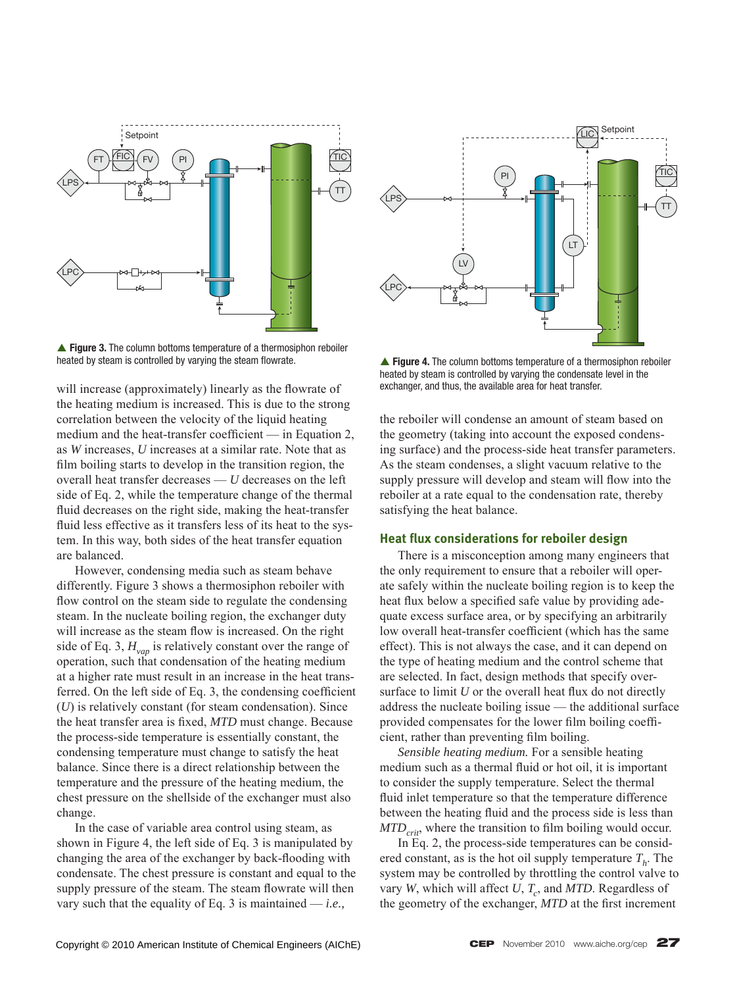

▲ Figure 3. The column bottoms temperature of a thermosiphon reboiler heated by steam is controlled by varying the steam flowrate.

will increase (approximately) linearly as the flowrate of the heating medium is increased. This is due to the strong correlation between the velocity of the liquid heating medium and the heat-transfer coefficient — in Equation 2, as *W* increases, *U* increases at a similar rate. Note that as film boiling starts to develop in the transition region, the overall heat transfer decreases — *U* decreases on the left side of Eq. 2, while the temperature change of the thermal fluid decreases on the right side, making the heat-transfer fluid less effective as it transfers less of its heat to the system. In this way, both sides of the heat transfer equation are balanced.

 However, condensing media such as steam behave differently. Figure 3 shows a thermosiphon reboiler with flow control on the steam side to regulate the condensing steam. In the nucleate boiling region, the exchanger duty will increase as the steam flow is increased. On the right side of Eq. 3,  $H_{vap}$  is relatively constant over the range of operation, such that condensation of the heating medium at a higher rate must result in an increase in the heat transferred. On the left side of Eq. 3, the condensing coefficient (*U*) is relatively constant (for steam condensation). Since the heat transfer area is fixed, *MTD* must change. Because the process-side temperature is essentially constant, the condensing temperature must change to satisfy the heat balance. Since there is a direct relationship between the temperature and the pressure of the heating medium, the chest pressure on the shellside of the exchanger must also change.

 In the case of variable area control using steam, as shown in Figure 4, the left side of Eq. 3 is manipulated by changing the area of the exchanger by back-flooding with condensate. The chest pressure is constant and equal to the supply pressure of the steam. The steam flowrate will then vary such that the equality of Eq. 3 is maintained — *i.e.,*



▲ Figure 4. The column bottoms temperature of a thermosiphon reboiler heated by steam is controlled by varying the condensate level in the exchanger, and thus, the available area for heat transfer.

the reboiler will condense an amount of steam based on the geometry (taking into account the exposed condensing surface) and the process-side heat transfer parameters. As the steam condenses, a slight vacuum relative to the supply pressure will develop and steam will flow into the reboiler at a rate equal to the condensation rate, thereby satisfying the heat balance.

#### **Heat flux considerations for reboiler design**

 There is a misconception among many engineers that the only requirement to ensure that a reboiler will operate safely within the nucleate boiling region is to keep the heat flux below a specified safe value by providing adequate excess surface area, or by specifying an arbitrarily low overall heat-transfer coefficient (which has the same effect). This is not always the case, and it can depend on the type of heating medium and the control scheme that are selected. In fact, design methods that specify oversurface to limit  $U$  or the overall heat flux do not directly address the nucleate boiling issue — the additional surface provided compensates for the lower film boiling coefficient, rather than preventing film boiling.

 *Sensible heating medium.* For a sensible heating medium such as a thermal fluid or hot oil, it is important to consider the supply temperature. Select the thermal fluid inlet temperature so that the temperature difference between the heating fluid and the process side is less than *MTD<sub>crit</sub>*, where the transition to film boiling would occur.

 In Eq. 2, the process-side temperatures can be considered constant, as is the hot oil supply temperature  $T<sub>k</sub>$ . The system may be controlled by throttling the control valve to vary *W*, which will affect *U*,  $T_c$ , and *MTD*. Regardless of the geometry of the exchanger, *MTD* at the first increment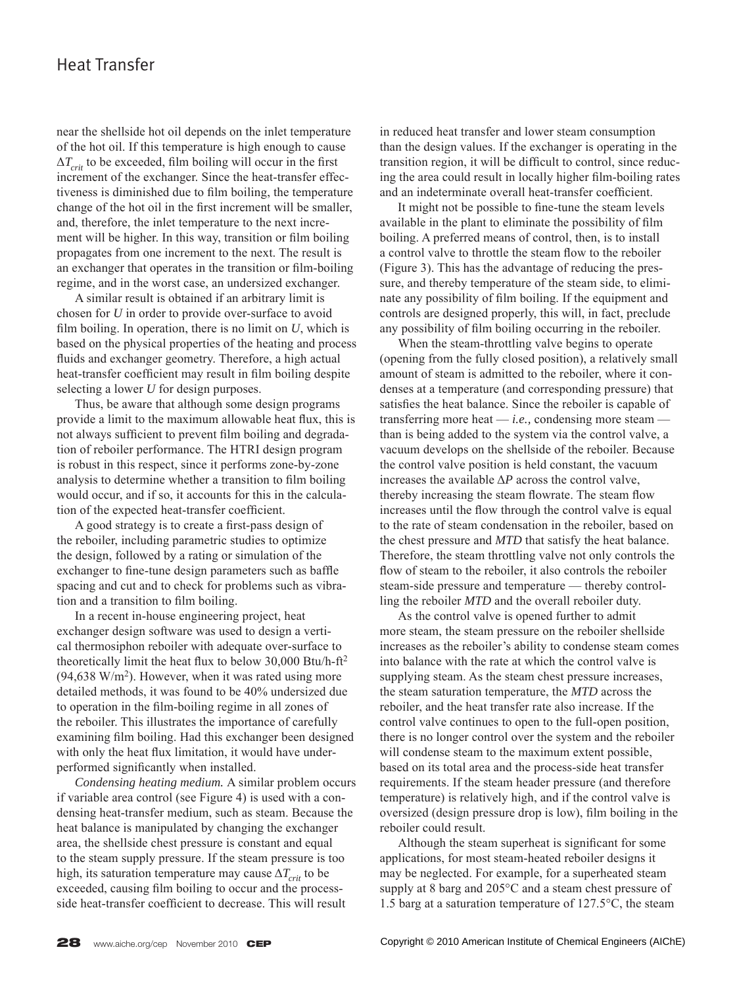near the shellside hot oil depends on the inlet temperature of the hot oil. If this temperature is high enough to cause  $\Delta T_{crit}$  to be exceeded, film boiling will occur in the first increment of the exchanger. Since the heat-transfer effectiveness is diminished due to film boiling, the temperature change of the hot oil in the first increment will be smaller, and, therefore, the inlet temperature to the next increment will be higher. In this way, transition or film boiling propagates from one increment to the next. The result is an exchanger that operates in the transition or film-boiling regime, and in the worst case, an undersized exchanger.

 A similar result is obtained if an arbitrary limit is chosen for *U* in order to provide over-surface to avoid film boiling. In operation, there is no limit on  $U$ , which is based on the physical properties of the heating and process fluids and exchanger geometry. Therefore, a high actual heat-transfer coefficient may result in film boiling despite selecting a lower *U* for design purposes.

 Thus, be aware that although some design programs provide a limit to the maximum allowable heat flux, this is not always sufficient to prevent film boiling and degradation of reboiler performance. The HTRI design program is robust in this respect, since it performs zone-by-zone analysis to determine whether a transition to film boiling would occur, and if so, it accounts for this in the calculation of the expected heat-transfer coefficient.

A good strategy is to create a first-pass design of the reboiler, including parametric studies to optimize the design, followed by a rating or simulation of the exchanger to fine-tune design parameters such as baffle spacing and cut and to check for problems such as vibration and a transition to film boiling.

 In a recent in-house engineering project, heat exchanger design software was used to design a vertical thermosiphon reboiler with adequate over-surface to theoretically limit the heat flux to below 30,000 Btu/h-ft<sup>2</sup>  $(94,638 \text{ W/m}^2)$ . However, when it was rated using more detailed methods, it was found to be 40% undersized due to operation in the film-boiling regime in all zones of the reboiler. This illustrates the importance of carefully examining film boiling. Had this exchanger been designed with only the heat flux limitation, it would have underperformed significantly when installed.

*Condensing heating medium.* A similar problem occurs if variable area control (see Figure 4) is used with a condensing heat-transfer medium, such as steam. Because the heat balance is manipulated by changing the exchanger area, the shellside chest pressure is constant and equal to the steam supply pressure. If the steam pressure is too high, its saturation temperature may cause  $\Delta T_{crit}$  to be exceeded, causing film boiling to occur and the processside heat-transfer coefficient to decrease. This will result

in reduced heat transfer and lower steam consumption than the design values. If the exchanger is operating in the transition region, it will be difficult to control, since reducing the area could result in locally higher film-boiling rates and an indeterminate overall heat-transfer coefficient.

It might not be possible to fine-tune the steam levels available in the plant to eliminate the possibility of film boiling. A preferred means of control, then, is to install a control valve to throttle the steam flow to the reboiler (Figure 3). This has the advantage of reducing the pressure, and thereby temperature of the steam side, to eliminate any possibility of film boiling. If the equipment and controls are designed properly, this will, in fact, preclude any possibility of film boiling occurring in the reboiler.

 When the steam-throttling valve begins to operate (opening from the fully closed position), a relatively small amount of steam is admitted to the reboiler, where it condenses at a temperature (and corresponding pressure) that satisfies the heat balance. Since the reboiler is capable of transferring more heat — *i.e.,* condensing more steam than is being added to the system via the control valve, a vacuum develops on the shellside of the reboiler. Because the control valve position is held constant, the vacuum increases the available  $\Delta P$  across the control valve, thereby increasing the steam flowrate. The steam flow increases until the flow through the control valve is equal to the rate of steam condensation in the reboiler, based on the chest pressure and *MTD* that satisfy the heat balance. Therefore, the steam throttling valve not only controls the flow of steam to the reboiler, it also controls the reboiler steam-side pressure and temperature — thereby controlling the reboiler *MTD* and the overall reboiler duty.

 As the control valve is opened further to admit more steam, the steam pressure on the reboiler shellside increases as the reboiler's ability to condense steam comes into balance with the rate at which the control valve is supplying steam. As the steam chest pressure increases, the steam saturation temperature, the *MTD* across the reboiler, and the heat transfer rate also increase. If the control valve continues to open to the full-open position, there is no longer control over the system and the reboiler will condense steam to the maximum extent possible, based on its total area and the process-side heat transfer requirements. If the steam header pressure (and therefore temperature) is relatively high, and if the control valve is oversized (design pressure drop is low), film boiling in the reboiler could result.

Although the steam superheat is significant for some applications, for most steam-heated reboiler designs it may be neglected. For example, for a superheated steam supply at 8 barg and 205°C and a steam chest pressure of 1.5 barg at a saturation temperature of 127.5°C, the steam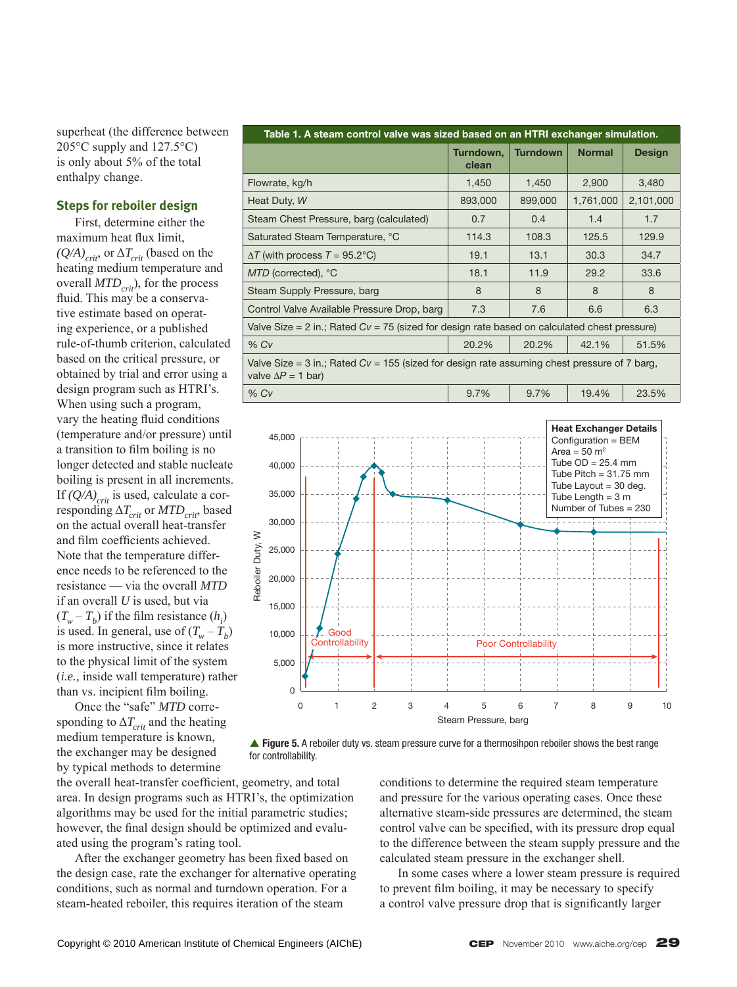superheat (the difference between 205 $\rm ^{\circ}C$  supply and 127.5 $\rm ^{\circ}C$ ) is only about 5% of the total enthalpy change.

#### **Steps for reboiler design**

 First, determine either the maximum heat flux limit.  $(Q/A)_{crit}$ , or  $\Delta T_{crit}$  (based on the heating medium temperature and overall  $MTD_{crit}$ ), for the process fluid. This may be a conservative estimate based on operating experience, or a published rule-of-thumb criterion, calculated based on the critical pressure, or obtained by trial and error using a design program such as HTRI's. When using such a program, vary the heating fluid conditions (temperature and/or pressure) until a transition to film boiling is no longer detected and stable nucleate boiling is present in all increments. If  $(Q/A)_{crit}$  is used, calculate a corresponding  $\Delta T_{crit}$  or  $MTD_{crit}$ , based on the actual overall heat-transfer and film coefficients achieved. Note that the temperature difference needs to be referenced to the resistance — via the overall *MTD* if an overall *U* is used, but via  $(T_w - T_b)$  if the film resistance  $(h_i)$ is used. In general, use of  $(T_w - T_b)$ is more instructive, since it relates to the physical limit of the system (*i.e.,* inside wall temperature) rather than vs. incipient film boiling.

 Once the "safe" *MTD* corresponding to  $\Delta T_{crit}$  and the heating medium temperature is known, the exchanger may be designed by typical methods to determine

**Table 1. A steam control valve was sized based on an HTRI exchanger simulation. Turndown, clean Turndown Normal Design** Flowrate, kg/h 1,450 1,450 2,900 3,480 Heat Duty, *W* 893,000 893,000 899,000 1,761,000 2,101,000 Steam Chest Pressure, barg (calculated)  $\begin{array}{|c|c|c|c|c|c|c|c|c|} \hline \end{array}$  0.7  $\begin{array}{|c|c|c|c|c|c|c|c|c|} \hline \end{array}$  0.4  $\begin{array}{|c|c|c|c|c|c|c|c|c|} \hline \end{array}$  1.7 1.4 1.7 Saturated Steam Temperature, °C 114.3 108.3 125.5 129.9  $\Delta T$  (with process  $T = 95.2^{\circ}$ C) 19.1 13.1 30.3 34.7 *MTD* (corrected), °C 18.1 11.9 29.2 33.6 Steam Supply Pressure, barg 8 8 8 8 Control Valve Available Pressure Drop, barg  $\begin{array}{|c|c|c|c|c|c|c|c|} \hline \end{array}$  7.6  $\begin{array}{|c|c|c|c|c|c|} \hline \end{array}$  6.3 Valve Size = 2 in.; Rated *Cv* = 75 (sized for design rate based on calculated chest pressure) % *Cv* 20.2% 20.2% 42.1% 51.5% Valve Size = 3 in.; Rated *Cv* = 155 (sized for design rate assuming chest pressure of 7 barg, valve  $\Delta P = 1$  bar) % *Cv* 9.7% 9.7% 19.4% 23.5%





the overall heat-transfer coefficient, geometry, and total area. In design programs such as HTRI's, the optimization algorithms may be used for the initial parametric studies; however, the final design should be optimized and evaluated using the program's rating tool.

After the exchanger geometry has been fixed based on the design case, rate the exchanger for alternative operating conditions, such as normal and turndown operation. For a steam-heated reboiler, this requires iteration of the steam

conditions to determine the required steam temperature and pressure for the various operating cases. Once these alternative steam-side pressures are determined, the steam control valve can be specified, with its pressure drop equal to the difference between the steam supply pressure and the calculated steam pressure in the exchanger shell.

 In some cases where a lower steam pressure is required to prevent film boiling, it may be necessary to specify a control valve pressure drop that is significantly larger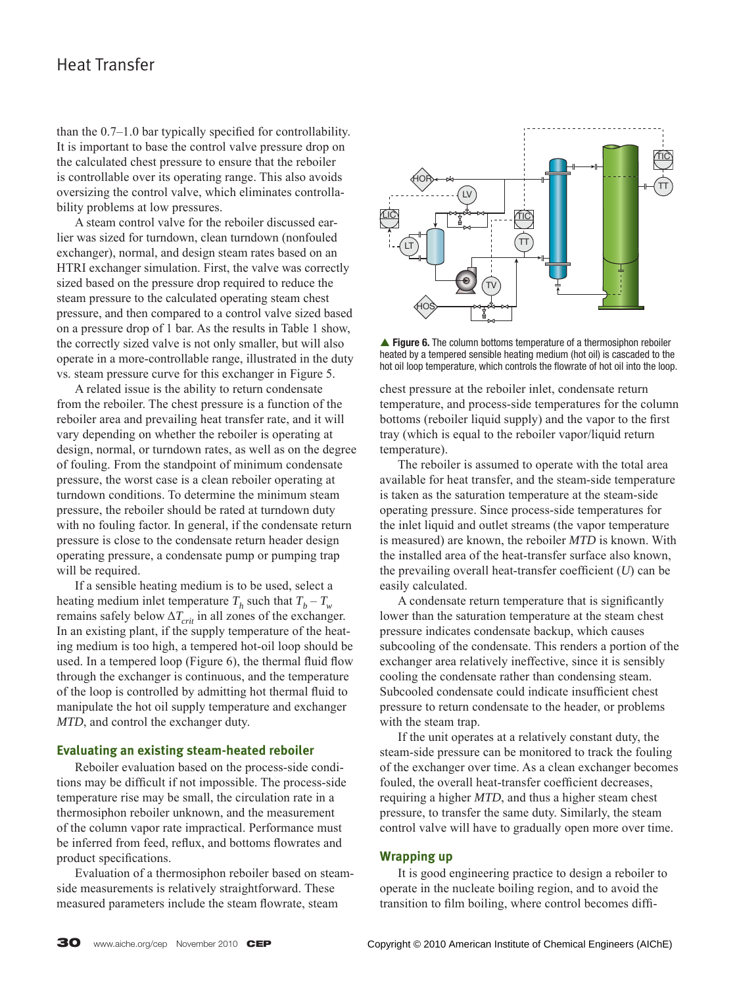than the  $0.7-1.0$  bar typically specified for controllability. It is important to base the control valve pressure drop on the calculated chest pressure to ensure that the reboiler is controllable over its operating range. This also avoids oversizing the control valve, which eliminates controllability problems at low pressures.

 A steam control valve for the reboiler discussed earlier was sized for turndown, clean turndown (nonfouled exchanger), normal, and design steam rates based on an HTRI exchanger simulation. First, the valve was correctly sized based on the pressure drop required to reduce the steam pressure to the calculated operating steam chest pressure, and then compared to a control valve sized based on a pressure drop of 1 bar. As the results in Table 1 show, the correctly sized valve is not only smaller, but will also operate in a more-controllable range, illustrated in the duty vs. steam pressure curve for this exchanger in Figure 5.

 A related issue is the ability to return condensate from the reboiler. The chest pressure is a function of the reboiler area and prevailing heat transfer rate, and it will vary depending on whether the reboiler is operating at design, normal, or turndown rates, as well as on the degree of fouling. From the standpoint of minimum condensate pressure, the worst case is a clean reboiler operating at turndown conditions. To determine the minimum steam pressure, the reboiler should be rated at turndown duty with no fouling factor. In general, if the condensate return pressure is close to the condensate return header design operating pressure, a condensate pump or pumping trap will be required.

 If a sensible heating medium is to be used, select a heating medium inlet temperature  $T_h$  such that  $T_b - T_w$ remains safely below  $\Delta T_{crit}$  in all zones of the exchanger. In an existing plant, if the supply temperature of the heating medium is too high, a tempered hot-oil loop should be used. In a tempered loop (Figure 6), the thermal fluid flow through the exchanger is continuous, and the temperature of the loop is controlled by admitting hot thermal fluid to manipulate the hot oil supply temperature and exchanger *MTD*, and control the exchanger duty.

#### **Evaluating an existing steam-heated reboiler**

 Reboiler evaluation based on the process-side conditions may be difficult if not impossible. The process-side temperature rise may be small, the circulation rate in a thermosiphon reboiler unknown, and the measurement of the column vapor rate impractical. Performance must be inferred from feed, reflux, and bottoms flowrates and product specifications.

 Evaluation of a thermosiphon reboiler based on steamside measurements is relatively straightforward. These measured parameters include the steam flowrate, steam



▲ Figure 6. The column bottoms temperature of a thermosiphon reboiler heated by a tempered sensible heating medium (hot oil) is cascaded to the hot oil loop temperature, which controls the flowrate of hot oil into the loop.

chest pressure at the reboiler inlet, condensate return temperature, and process-side temperatures for the column bottoms (reboiler liquid supply) and the vapor to the first tray (which is equal to the reboiler vapor/liquid return temperature).

 The reboiler is assumed to operate with the total area available for heat transfer, and the steam-side temperature is taken as the saturation temperature at the steam-side operating pressure. Since process-side temperatures for the inlet liquid and outlet streams (the vapor temperature is measured) are known, the reboiler *MTD* is known. With the installed area of the heat-transfer surface also known, the prevailing overall heat-transfer coefficient  $(U)$  can be easily calculated.

A condensate return temperature that is significantly lower than the saturation temperature at the steam chest pressure indicates condensate backup, which causes subcooling of the condensate. This renders a portion of the exchanger area relatively ineffective, since it is sensibly cooling the condensate rather than condensing steam. Subcooled condensate could indicate insufficient chest pressure to return condensate to the header, or problems with the steam trap.

 If the unit operates at a relatively constant duty, the steam-side pressure can be monitored to track the fouling of the exchanger over time. As a clean exchanger becomes fouled, the overall heat-transfer coefficient decreases, requiring a higher *MTD*, and thus a higher steam chest pressure, to transfer the same duty. Similarly, the steam control valve will have to gradually open more over time.

#### **Wrapping up**

 It is good engineering practice to design a reboiler to operate in the nucleate boiling region, and to avoid the transition to film boiling, where control becomes diffi